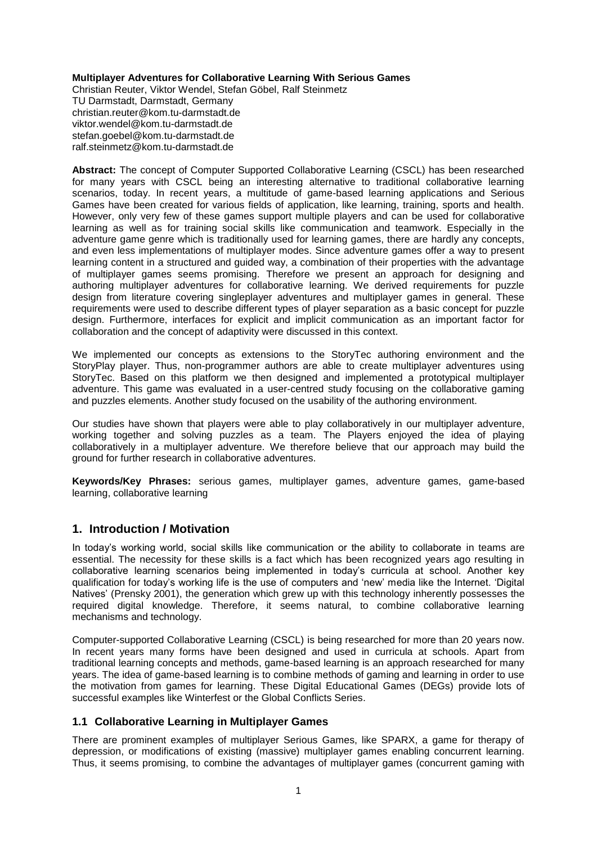#### **Multiplayer Adventures for Collaborative Learning With Serious Games**

Christian Reuter, Viktor Wendel, Stefan Göbel, Ralf Steinmetz TU Darmstadt, Darmstadt, Germany christian.reuter@kom.tu-darmstadt.de viktor.wendel@kom.tu-darmstadt.de stefan.goebel@kom.tu-darmstadt.de ralf.steinmetz@kom.tu-darmstadt.de

**Abstract:** The concept of Computer Supported Collaborative Learning (CSCL) has been researched for many years with CSCL being an interesting alternative to traditional collaborative learning scenarios, today. In recent years, a multitude of game-based learning applications and Serious Games have been created for various fields of application, like learning, training, sports and health. However, only very few of these games support multiple players and can be used for collaborative learning as well as for training social skills like communication and teamwork. Especially in the adventure game genre which is traditionally used for learning games, there are hardly any concepts, and even less implementations of multiplayer modes. Since adventure games offer a way to present learning content in a structured and guided way, a combination of their properties with the advantage of multiplayer games seems promising. Therefore we present an approach for designing and authoring multiplayer adventures for collaborative learning. We derived requirements for puzzle design from literature covering singleplayer adventures and multiplayer games in general. These requirements were used to describe different types of player separation as a basic concept for puzzle design. Furthermore, interfaces for explicit and implicit communication as an important factor for collaboration and the concept of adaptivity were discussed in this context.

We implemented our concepts as extensions to the StoryTec authoring environment and the StoryPlay player. Thus, non-programmer authors are able to create multiplayer adventures using StoryTec. Based on this platform we then designed and implemented a prototypical multiplayer adventure. This game was evaluated in a user-centred study focusing on the collaborative gaming and puzzles elements. Another study focused on the usability of the authoring environment.

Our studies have shown that players were able to play collaboratively in our multiplayer adventure, working together and solving puzzles as a team. The Players enjoyed the idea of playing collaboratively in a multiplayer adventure. We therefore believe that our approach may build the ground for further research in collaborative adventures.

**Keywords/Key Phrases:** serious games, multiplayer games, adventure games, game-based learning, collaborative learning

# **1. Introduction / Motivation**

In today's working world, social skills like communication or the ability to collaborate in teams are essential. The necessity for these skills is a fact which has been recognized years ago resulting in collaborative learning scenarios being implemented in today's curricula at school. Another key qualification for today's working life is the use of computers and 'new' media like the Internet. 'Digital Natives' (Prensky 2001), the generation which grew up with this technology inherently possesses the required digital knowledge. Therefore, it seems natural, to combine collaborative learning mechanisms and technology.

Computer-supported Collaborative Learning (CSCL) is being researched for more than 20 years now. In recent years many forms have been designed and used in curricula at schools. Apart from traditional learning concepts and methods, game-based learning is an approach researched for many years. The idea of game-based learning is to combine methods of gaming and learning in order to use the motivation from games for learning. These Digital Educational Games (DEGs) provide lots of successful examples like Winterfest or the Global Conflicts Series.

#### **1.1 Collaborative Learning in Multiplayer Games**

There are prominent examples of multiplayer Serious Games, like SPARX, a game for therapy of depression, or modifications of existing (massive) multiplayer games enabling concurrent learning. Thus, it seems promising, to combine the advantages of multiplayer games (concurrent gaming with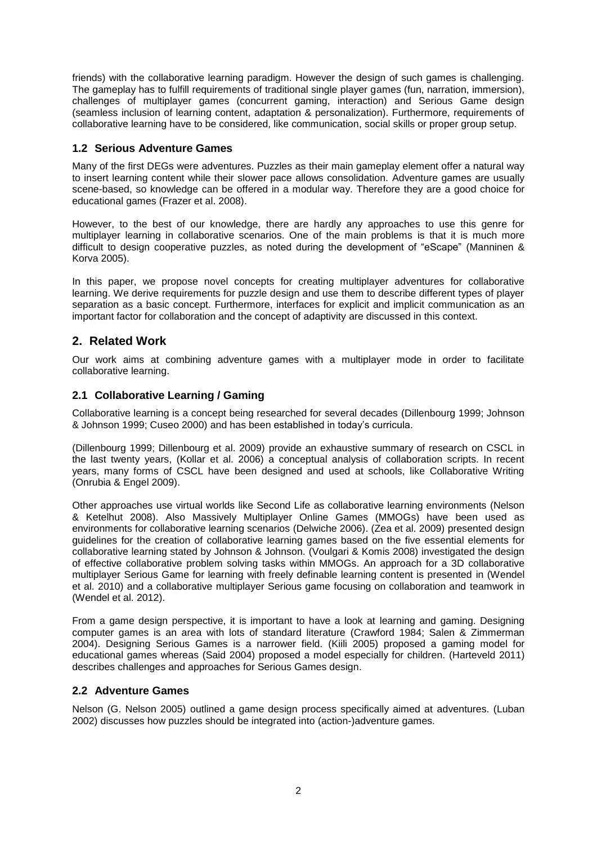friends) with the collaborative learning paradigm. However the design of such games is challenging. The gameplay has to fulfill requirements of traditional single player games (fun, narration, immersion), challenges of multiplayer games (concurrent gaming, interaction) and Serious Game design (seamless inclusion of learning content, adaptation & personalization). Furthermore, requirements of collaborative learning have to be considered, like communication, social skills or proper group setup.

# **1.2 Serious Adventure Games**

Many of the first DEGs were adventures. Puzzles as their main gameplay element offer a natural way to insert learning content while their slower pace allows consolidation. Adventure games are usually scene-based, so knowledge can be offered in a modular way. Therefore they are a good choice for educational games (Frazer et al. 2008).

However, to the best of our knowledge, there are hardly any approaches to use this genre for multiplayer learning in collaborative scenarios. One of the main problems is that it is much more difficult to design cooperative puzzles, as noted during the development of "eScape" (Manninen & Korva 2005).

In this paper, we propose novel concepts for creating multiplayer adventures for collaborative learning. We derive requirements for puzzle design and use them to describe different types of player separation as a basic concept. Furthermore, interfaces for explicit and implicit communication as an important factor for collaboration and the concept of adaptivity are discussed in this context.

# **2. Related Work**

Our work aims at combining adventure games with a multiplayer mode in order to facilitate collaborative learning.

### **2.1 Collaborative Learning / Gaming**

Collaborative learning is a concept being researched for several decades (Dillenbourg 1999; Johnson & Johnson 1999; Cuseo 2000) and has been established in today's curricula.

(Dillenbourg 1999; Dillenbourg et al. 2009) provide an exhaustive summary of research on CSCL in the last twenty years, (Kollar et al. 2006) a conceptual analysis of collaboration scripts. In recent years, many forms of CSCL have been designed and used at schools, like Collaborative Writing (Onrubia & Engel 2009).

Other approaches use virtual worlds like Second Life as collaborative learning environments (Nelson & Ketelhut 2008). Also Massively Multiplayer Online Games (MMOGs) have been used as environments for collaborative learning scenarios (Delwiche 2006). (Zea et al. 2009) presented design guidelines for the creation of collaborative learning games based on the five essential elements for collaborative learning stated by Johnson & Johnson. (Voulgari & Komis 2008) investigated the design of effective collaborative problem solving tasks within MMOGs. An approach for a 3D collaborative multiplayer Serious Game for learning with freely definable learning content is presented in (Wendel et al. 2010) and a collaborative multiplayer Serious game focusing on collaboration and teamwork in (Wendel et al. 2012).

From a game design perspective, it is important to have a look at learning and gaming. Designing computer games is an area with lots of standard literature (Crawford 1984; Salen & Zimmerman 2004). Designing Serious Games is a narrower field. (Kiili 2005) proposed a gaming model for educational games whereas (Said 2004) proposed a model especially for children. (Harteveld 2011) describes challenges and approaches for Serious Games design.

#### **2.2 Adventure Games**

Nelson (G. Nelson 2005) outlined a game design process specifically aimed at adventures. (Luban 2002) discusses how puzzles should be integrated into (action-)adventure games.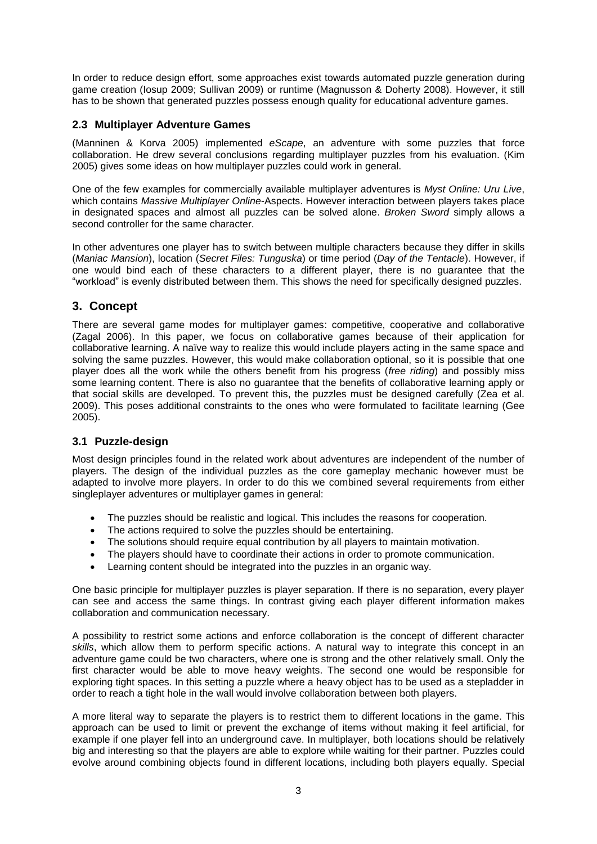In order to reduce design effort, some approaches exist towards automated puzzle generation during game creation (Iosup 2009; Sullivan 2009) or runtime (Magnusson & Doherty 2008). However, it still has to be shown that generated puzzles possess enough quality for educational adventure games.

# **2.3 Multiplayer Adventure Games**

(Manninen & Korva 2005) implemented *eScape*, an adventure with some puzzles that force collaboration. He drew several conclusions regarding multiplayer puzzles from his evaluation. (Kim 2005) gives some ideas on how multiplayer puzzles could work in general.

One of the few examples for commercially available multiplayer adventures is *Myst Online: Uru Live*, which contains *Massive Multiplayer Online*-Aspects. However interaction between players takes place in designated spaces and almost all puzzles can be solved alone. *Broken Sword* simply allows a second controller for the same character.

In other adventures one player has to switch between multiple characters because they differ in skills (*Maniac Mansion*), location (*Secret Files: Tunguska*) or time period (*Day of the Tentacle*). However, if one would bind each of these characters to a different player, there is no guarantee that the "workload" is evenly distributed between them. This shows the need for specifically designed puzzles.

# <span id="page-2-0"></span>**3. Concept**

There are several game modes for multiplayer games: competitive, cooperative and collaborative (Zagal 2006). In this paper, we focus on collaborative games because of their application for collaborative learning. A naïve way to realize this would include players acting in the same space and solving the same puzzles. However, this would make collaboration optional, so it is possible that one player does all the work while the others benefit from his progress (*free riding*) and possibly miss some learning content. There is also no quarantee that the benefits of collaborative learning apply or that social skills are developed. To prevent this, the puzzles must be designed carefully (Zea et al. 2009). This poses additional constraints to the ones who were formulated to facilitate learning (Gee 2005).

# **3.1 Puzzle-design**

Most design principles found in the related work about adventures are independent of the number of players. The design of the individual puzzles as the core gameplay mechanic however must be adapted to involve more players. In order to do this we combined several requirements from either singleplayer adventures or multiplayer games in general:

- The puzzles should be realistic and logical. This includes the reasons for cooperation.
- The actions required to solve the puzzles should be entertaining.
- The solutions should require equal contribution by all players to maintain motivation.
- The players should have to coordinate their actions in order to promote communication.
- Learning content should be integrated into the puzzles in an organic way.

One basic principle for multiplayer puzzles is player separation. If there is no separation, every player can see and access the same things. In contrast giving each player different information makes collaboration and communication necessary.

A possibility to restrict some actions and enforce collaboration is the concept of different character *skills*, which allow them to perform specific actions. A natural way to integrate this concept in an adventure game could be two characters, where one is strong and the other relatively small. Only the first character would be able to move heavy weights. The second one would be responsible for exploring tight spaces. In this setting a puzzle where a heavy object has to be used as a stepladder in order to reach a tight hole in the wall would involve collaboration between both players.

A more literal way to separate the players is to restrict them to different locations in the game. This approach can be used to limit or prevent the exchange of items without making it feel artificial, for example if one player fell into an underground cave. In multiplayer, both locations should be relatively big and interesting so that the players are able to explore while waiting for their partner. Puzzles could evolve around combining objects found in different locations, including both players equally. Special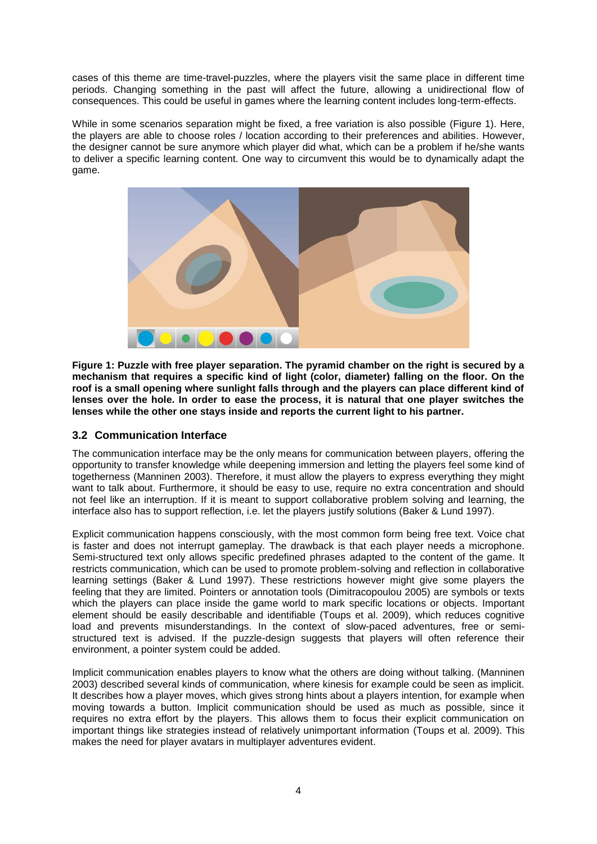cases of this theme are time-travel-puzzles, where the players visit the same place in different time periods. Changing something in the past will affect the future, allowing a unidirectional flow of consequences. This could be useful in games where the learning content includes long-term-effects.

While in some scenarios separation might be fixed, a free variation is also possible [\(Figure 1\)](#page-3-0). Here, the players are able to choose roles / location according to their preferences and abilities. However, the designer cannot be sure anymore which player did what, which can be a problem if he/she wants to deliver a specific learning content. One way to circumvent this would be to dynamically adapt the game.



<span id="page-3-0"></span>**Figure 1: Puzzle with free player separation. The pyramid chamber on the right is secured by a mechanism that requires a specific kind of light (color, diameter) falling on the floor. On the roof is a small opening where sunlight falls through and the players can place different kind of lenses over the hole. In order to ease the process, it is natural that one player switches the lenses while the other one stays inside and reports the current light to his partner.**

# **3.2 Communication Interface**

The communication interface may be the only means for communication between players, offering the opportunity to transfer knowledge while deepening immersion and letting the players feel some kind of togetherness (Manninen 2003). Therefore, it must allow the players to express everything they might want to talk about. Furthermore, it should be easy to use, require no extra concentration and should not feel like an interruption. If it is meant to support collaborative problem solving and learning, the interface also has to support reflection, i.e. let the players justify solutions (Baker & Lund 1997).

Explicit communication happens consciously, with the most common form being free text. Voice chat is faster and does not interrupt gameplay. The drawback is that each player needs a microphone. Semi-structured text only allows specific predefined phrases adapted to the content of the game. It restricts communication, which can be used to promote problem-solving and reflection in collaborative learning settings (Baker & Lund 1997). These restrictions however might give some players the feeling that they are limited. Pointers or annotation tools (Dimitracopoulou 2005) are symbols or texts which the players can place inside the game world to mark specific locations or objects. Important element should be easily describable and identifiable (Toups et al. 2009), which reduces cognitive load and prevents misunderstandings. In the context of slow-paced adventures, free or semistructured text is advised. If the puzzle-design suggests that players will often reference their environment, a pointer system could be added.

Implicit communication enables players to know what the others are doing without talking. (Manninen 2003) described several kinds of communication, where kinesis for example could be seen as implicit. It describes how a player moves, which gives strong hints about a players intention, for example when moving towards a button. Implicit communication should be used as much as possible, since it requires no extra effort by the players. This allows them to focus their explicit communication on important things like strategies instead of relatively unimportant information (Toups et al. 2009). This makes the need for player avatars in multiplayer adventures evident.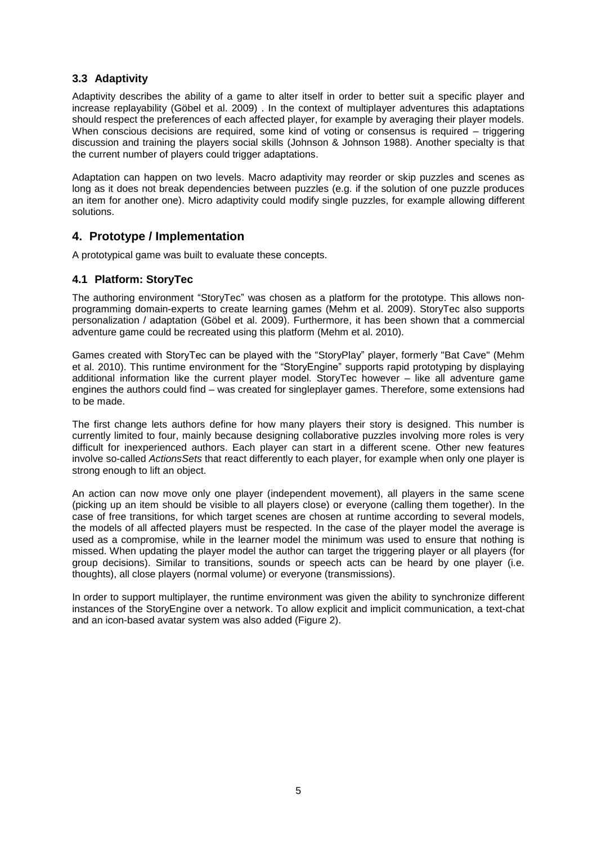# **3.3 Adaptivity**

Adaptivity describes the ability of a game to alter itself in order to better suit a specific player and increase replayability (Göbel et al. 2009) . In the context of multiplayer adventures this adaptations should respect the preferences of each affected player, for example by averaging their player models. When conscious decisions are required, some kind of voting or consensus is required – triggering discussion and training the players social skills (Johnson & Johnson 1988). Another specialty is that the current number of players could trigger adaptations.

Adaptation can happen on two levels. Macro adaptivity may reorder or skip puzzles and scenes as long as it does not break dependencies between puzzles (e.g. if the solution of one puzzle produces an item for another one). Micro adaptivity could modify single puzzles, for example allowing different solutions.

# **4. Prototype / Implementation**

A prototypical game was built to evaluate these concepts.

### **4.1 Platform: StoryTec**

The authoring environment "StoryTec" was chosen as a platform for the prototype. This allows nonprogramming domain-experts to create learning games (Mehm et al. 2009). StoryTec also supports personalization / adaptation (Göbel et al. 2009). Furthermore, it has been shown that a commercial adventure game could be recreated using this platform (Mehm et al. 2010).

Games created with StoryTec can be played with the "StoryPlay" player, formerly "Bat Cave" (Mehm et al. 2010). This runtime environment for the "StoryEngine" supports rapid prototyping by displaying additional information like the current player model. StoryTec however – like all adventure game engines the authors could find – was created for singleplayer games. Therefore, some extensions had to be made.

The first change lets authors define for how many players their story is designed. This number is currently limited to four, mainly because designing collaborative puzzles involving more roles is very difficult for inexperienced authors. Each player can start in a different scene. Other new features involve so-called *ActionsSets* that react differently to each player, for example when only one player is strong enough to lift an object.

An action can now move only one player (independent movement), all players in the same scene (picking up an item should be visible to all players close) or everyone (calling them together). In the case of free transitions, for which target scenes are chosen at runtime according to several models, the models of all affected players must be respected. In the case of the player model the average is used as a compromise, while in the learner model the minimum was used to ensure that nothing is missed. When updating the player model the author can target the triggering player or all players (for group decisions). Similar to transitions, sounds or speech acts can be heard by one player (i.e. thoughts), all close players (normal volume) or everyone (transmissions).

In order to support multiplayer, the runtime environment was given the ability to synchronize different instances of the StoryEngine over a network. To allow explicit and implicit communication, a text-chat and an icon-based avatar system was also added [\(Figure 2\)](#page-5-0).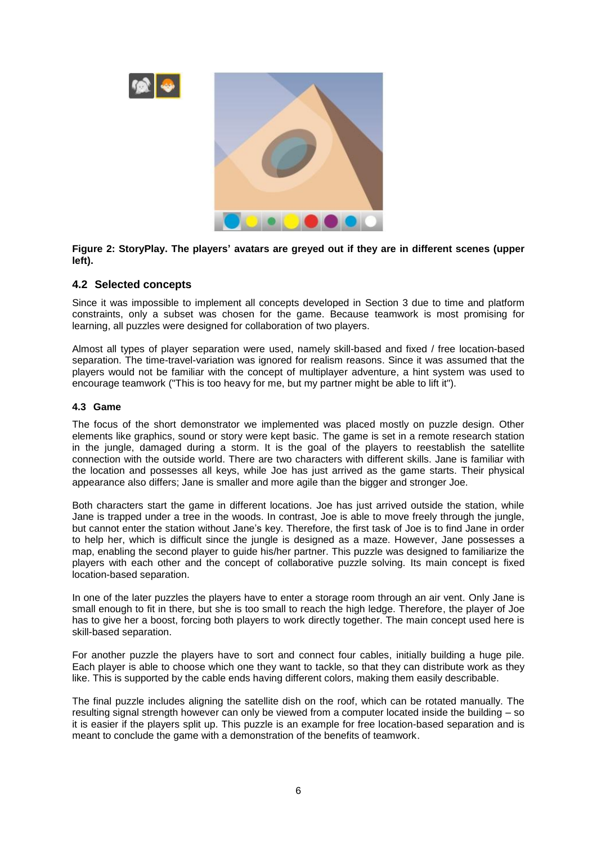

<span id="page-5-0"></span>**Figure 2: StoryPlay. The players' avatars are greyed out if they are in different scenes (upper left).**

### **4.2 Selected concepts**

Since it was impossible to implement all concepts developed in Section 3 due to time and platform constraints, only a subset was chosen for the game. Because teamwork is most promising for learning, all puzzles were designed for collaboration of two players.

Almost all types of player separation were used, namely skill-based and fixed / free location-based separation. The time-travel-variation was ignored for realism reasons. Since it was assumed that the players would not be familiar with the concept of multiplayer adventure, a hint system was used to encourage teamwork ("This is too heavy for me, but my partner might be able to lift it").

#### **4.3 Game**

The focus of the short demonstrator we implemented was placed mostly on puzzle design. Other elements like graphics, sound or story were kept basic. The game is set in a remote research station in the jungle, damaged during a storm. It is the goal of the players to reestablish the satellite connection with the outside world. There are two characters with different skills. Jane is familiar with the location and possesses all keys, while Joe has just arrived as the game starts. Their physical appearance also differs; Jane is smaller and more agile than the bigger and stronger Joe.

Both characters start the game in different locations. Joe has just arrived outside the station, while Jane is trapped under a tree in the woods. In contrast, Joe is able to move freely through the jungle, but cannot enter the station without Jane's key. Therefore, the first task of Joe is to find Jane in order to help her, which is difficult since the jungle is designed as a maze. However, Jane possesses a map, enabling the second player to guide his/her partner. This puzzle was designed to familiarize the players with each other and the concept of collaborative puzzle solving. Its main concept is fixed location-based separation.

In one of the later puzzles the players have to enter a storage room through an air vent. Only Jane is small enough to fit in there, but she is too small to reach the high ledge. Therefore, the player of Joe has to give her a boost, forcing both players to work directly together. The main concept used here is skill-based separation.

For another puzzle the players have to sort and connect four cables, initially building a huge pile. Each player is able to choose which one they want to tackle, so that they can distribute work as they like. This is supported by the cable ends having different colors, making them easily describable.

The final puzzle includes aligning the satellite dish on the roof, which can be rotated manually. The resulting signal strength however can only be viewed from a computer located inside the building – so it is easier if the players split up. This puzzle is an example for free location-based separation and is meant to conclude the game with a demonstration of the benefits of teamwork.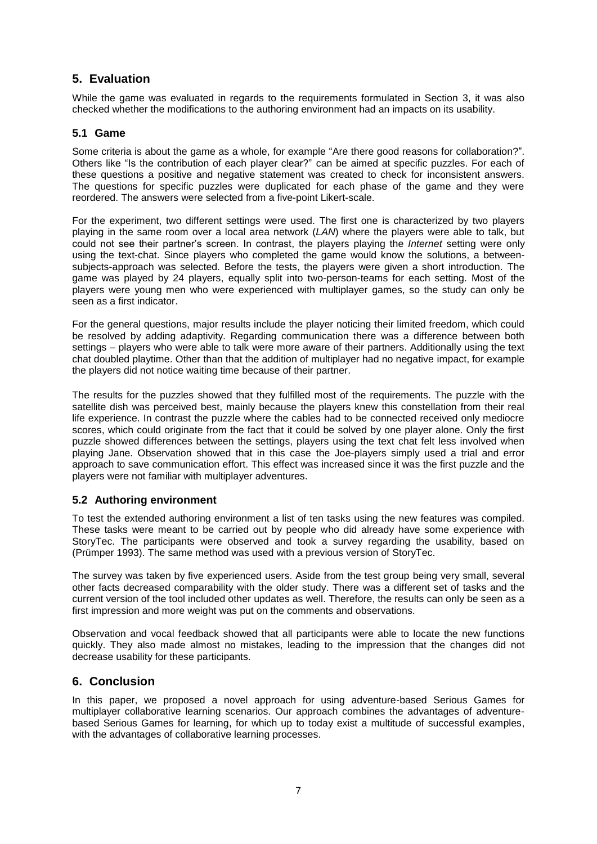# **5. Evaluation**

While the game was evaluated in regards to the requirements formulated in Section [3,](#page-2-0) it was also checked whether the modifications to the authoring environment had an impacts on its usability.

### **5.1 Game**

Some criteria is about the game as a whole, for example "Are there good reasons for collaboration?". Others like "Is the contribution of each player clear?" can be aimed at specific puzzles. For each of these questions a positive and negative statement was created to check for inconsistent answers. The questions for specific puzzles were duplicated for each phase of the game and they were reordered. The answers were selected from a five-point Likert-scale.

For the experiment, two different settings were used. The first one is characterized by two players playing in the same room over a local area network (*LAN*) where the players were able to talk, but could not see their partner's screen. In contrast, the players playing the *Internet* setting were only using the text-chat. Since players who completed the game would know the solutions, a betweensubjects-approach was selected. Before the tests, the players were given a short introduction. The game was played by 24 players, equally split into two-person-teams for each setting. Most of the players were young men who were experienced with multiplayer games, so the study can only be seen as a first indicator.

For the general questions, major results include the player noticing their limited freedom, which could be resolved by adding adaptivity. Regarding communication there was a difference between both settings – players who were able to talk were more aware of their partners. Additionally using the text chat doubled playtime. Other than that the addition of multiplayer had no negative impact, for example the players did not notice waiting time because of their partner.

The results for the puzzles showed that they fulfilled most of the requirements. The puzzle with the satellite dish was perceived best, mainly because the players knew this constellation from their real life experience. In contrast the puzzle where the cables had to be connected received only mediocre scores, which could originate from the fact that it could be solved by one player alone. Only the first puzzle showed differences between the settings, players using the text chat felt less involved when playing Jane. Observation showed that in this case the Joe-players simply used a trial and error approach to save communication effort. This effect was increased since it was the first puzzle and the players were not familiar with multiplayer adventures.

# **5.2 Authoring environment**

To test the extended authoring environment a list of ten tasks using the new features was compiled. These tasks were meant to be carried out by people who did already have some experience with StoryTec. The participants were observed and took a survey regarding the usability, based on (Prümper 1993). The same method was used with a previous version of StoryTec.

The survey was taken by five experienced users. Aside from the test group being very small, several other facts decreased comparability with the older study. There was a different set of tasks and the current version of the tool included other updates as well. Therefore, the results can only be seen as a first impression and more weight was put on the comments and observations.

Observation and vocal feedback showed that all participants were able to locate the new functions quickly. They also made almost no mistakes, leading to the impression that the changes did not decrease usability for these participants.

# **6. Conclusion**

In this paper, we proposed a novel approach for using adventure-based Serious Games for multiplayer collaborative learning scenarios. Our approach combines the advantages of adventurebased Serious Games for learning, for which up to today exist a multitude of successful examples, with the advantages of collaborative learning processes.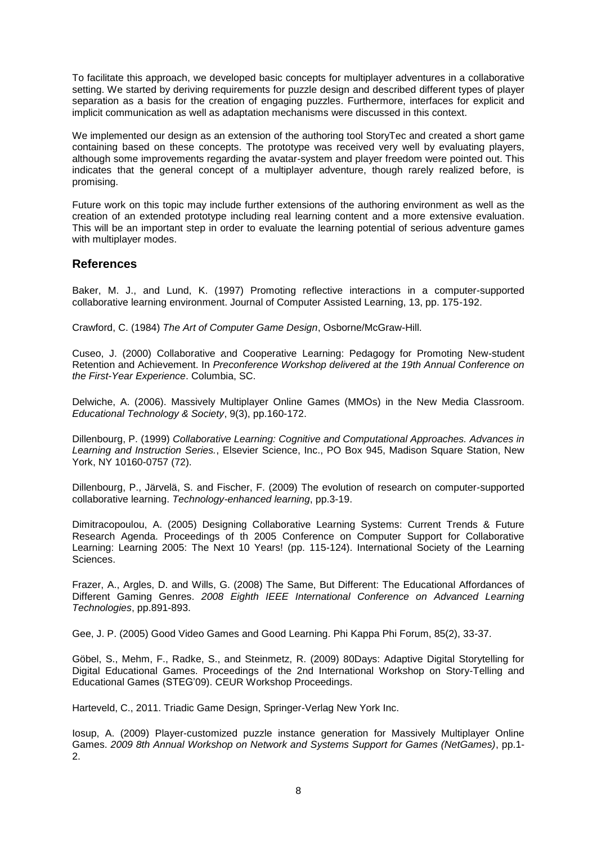To facilitate this approach, we developed basic concepts for multiplayer adventures in a collaborative setting. We started by deriving requirements for puzzle design and described different types of player separation as a basis for the creation of engaging puzzles. Furthermore, interfaces for explicit and implicit communication as well as adaptation mechanisms were discussed in this context.

We implemented our design as an extension of the authoring tool StoryTec and created a short game containing based on these concepts. The prototype was received very well by evaluating players, although some improvements regarding the avatar-system and player freedom were pointed out. This indicates that the general concept of a multiplayer adventure, though rarely realized before, is promising.

Future work on this topic may include further extensions of the authoring environment as well as the creation of an extended prototype including real learning content and a more extensive evaluation. This will be an important step in order to evaluate the learning potential of serious adventure games with multiplayer modes.

### **References**

Baker, M. J., and Lund, K. (1997) Promoting reflective interactions in a computer-supported collaborative learning environment. Journal of Computer Assisted Learning, 13, pp. 175-192.

Crawford, C. (1984) *The Art of Computer Game Design*, Osborne/McGraw-Hill.

Cuseo, J. (2000) Collaborative and Cooperative Learning: Pedagogy for Promoting New-student Retention and Achievement. In *Preconference Workshop delivered at the 19th Annual Conference on the First-Year Experience*. Columbia, SC.

Delwiche, A. (2006). Massively Multiplayer Online Games (MMOs) in the New Media Classroom. *Educational Technology & Society*, 9(3), pp.160-172.

Dillenbourg, P. (1999) *Collaborative Learning: Cognitive and Computational Approaches. Advances in Learning and Instruction Series.*, Elsevier Science, Inc., PO Box 945, Madison Square Station, New York, NY 10160-0757 (72).

Dillenbourg, P., Järvelä, S. and Fischer, F. (2009) The evolution of research on computer-supported collaborative learning. *Technology-enhanced learning*, pp.3-19.

Dimitracopoulou, A. (2005) Designing Collaborative Learning Systems: Current Trends & Future Research Agenda. Proceedings of th 2005 Conference on Computer Support for Collaborative Learning: Learning 2005: The Next 10 Years! (pp. 115-124). International Society of the Learning Sciences.

Frazer, A., Argles, D. and Wills, G. (2008) The Same, But Different: The Educational Affordances of Different Gaming Genres. *2008 Eighth IEEE International Conference on Advanced Learning Technologies*, pp.891-893.

Gee, J. P. (2005) Good Video Games and Good Learning. Phi Kappa Phi Forum, 85(2), 33-37.

Göbel, S., Mehm, F., Radke, S., and Steinmetz, R. (2009) 80Days: Adaptive Digital Storytelling for Digital Educational Games. Proceedings of the 2nd International Workshop on Story-Telling and Educational Games (STEG'09). CEUR Workshop Proceedings.

Harteveld, C., 2011. Triadic Game Design, Springer-Verlag New York Inc.

Iosup, A. (2009) Player-customized puzzle instance generation for Massively Multiplayer Online Games. *2009 8th Annual Workshop on Network and Systems Support for Games (NetGames)*, pp.1- 2.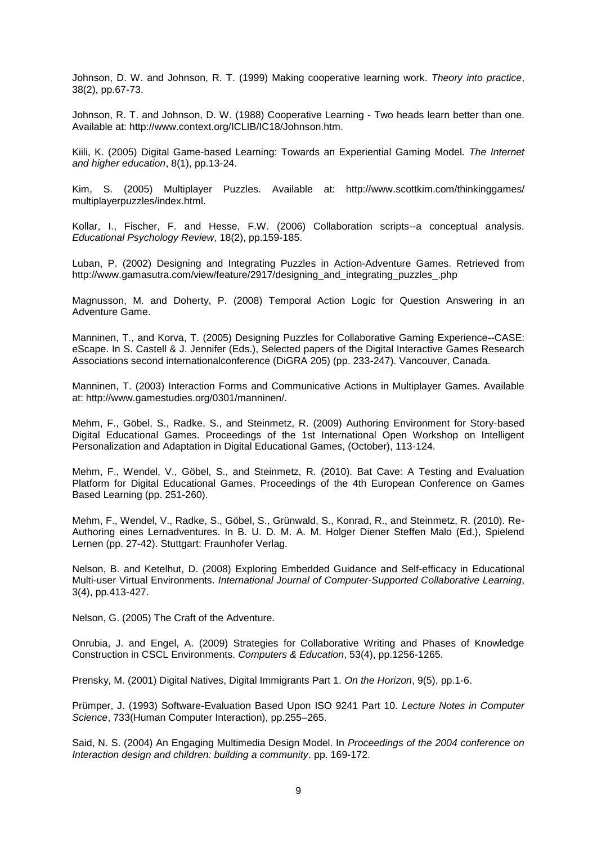Johnson, D. W. and Johnson, R. T. (1999) Making cooperative learning work. *Theory into practice*, 38(2), pp.67-73.

Johnson, R. T. and Johnson, D. W. (1988) Cooperative Learning - Two heads learn better than one. Available at: http://www.context.org/ICLIB/IC18/Johnson.htm.

Kiili, K. (2005) Digital Game-based Learning: Towards an Experiential Gaming Model. *The Internet and higher education*, 8(1), pp.13-24.

Kim, S. (2005) Multiplayer Puzzles. Available at: http://www.scottkim.com/thinkinggames/ multiplayerpuzzles/index.html.

Kollar, I., Fischer, F. and Hesse, F.W. (2006) Collaboration scripts--a conceptual analysis. *Educational Psychology Review*, 18(2), pp.159-185.

Luban, P. (2002) Designing and Integrating Puzzles in Action-Adventure Games. Retrieved from http://www.gamasutra.com/view/feature/2917/designing\_and\_integrating\_puzzles\_.php

Magnusson, M. and Doherty, P. (2008) Temporal Action Logic for Question Answering in an Adventure Game.

Manninen, T., and Korva, T. (2005) Designing Puzzles for Collaborative Gaming Experience--CASE: eScape. In S. Castell & J. Jennifer (Eds.), Selected papers of the Digital Interactive Games Research Associations second internationalconference (DiGRA 205) (pp. 233-247). Vancouver, Canada.

Manninen, T. (2003) Interaction Forms and Communicative Actions in Multiplayer Games. Available at: http://www.gamestudies.org/0301/manninen/.

Mehm, F., Göbel, S., Radke, S., and Steinmetz, R. (2009) Authoring Environment for Story-based Digital Educational Games. Proceedings of the 1st International Open Workshop on Intelligent Personalization and Adaptation in Digital Educational Games, (October), 113-124.

Mehm, F., Wendel, V., Göbel, S., and Steinmetz, R. (2010). Bat Cave: A Testing and Evaluation Platform for Digital Educational Games. Proceedings of the 4th European Conference on Games Based Learning (pp. 251-260).

Mehm, F., Wendel, V., Radke, S., Göbel, S., Grünwald, S., Konrad, R., and Steinmetz, R. (2010). Re-Authoring eines Lernadventures. In B. U. D. M. A. M. Holger Diener Steffen Malo (Ed.), Spielend Lernen (pp. 27-42). Stuttgart: Fraunhofer Verlag.

Nelson, B. and Ketelhut, D. (2008) Exploring Embedded Guidance and Self-efficacy in Educational Multi-user Virtual Environments. *International Journal of Computer-Supported Collaborative Learning*, 3(4), pp.413-427.

Nelson, G. (2005) The Craft of the Adventure.

Onrubia, J. and Engel, A. (2009) Strategies for Collaborative Writing and Phases of Knowledge Construction in CSCL Environments. *Computers & Education*, 53(4), pp.1256-1265.

Prensky, M. (2001) Digital Natives, Digital Immigrants Part 1. *On the Horizon*, 9(5), pp.1-6.

Prümper, J. (1993) Software-Evaluation Based Upon ISO 9241 Part 10. *Lecture Notes in Computer Science*, 733(Human Computer Interaction), pp.255–265.

Said, N. S. (2004) An Engaging Multimedia Design Model. In *Proceedings of the 2004 conference on Interaction design and children: building a community*. pp. 169-172.